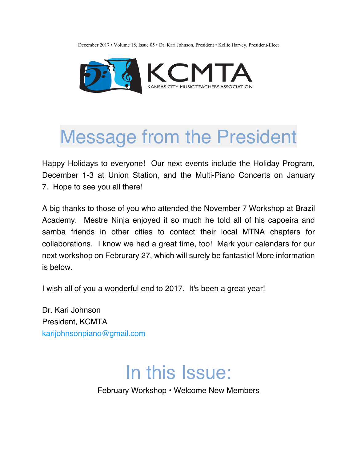December 2017 • Volume 18, Issue 05 • Dr. Kari Johnson, President • Kellie Harvey, President-Elect



## Message from the President

Happy Holidays to everyone! Our next events include the Holiday Program, December 1-3 at Union Station, and the Multi-Piano Concerts on January 7. Hope to see you all there!

A big thanks to those of you who attended the November 7 Workshop at Brazil Academy. Mestre Ninja enjoyed it so much he told all of his capoeira and samba friends in other cities to contact their local MTNA chapters for collaborations. I know we had a great time, too! Mark your calendars for our next workshop on Februrary 27, which will surely be fantastic! More information is below.

I wish all of you a wonderful end to 2017. It's been a great year!

Dr. Kari Johnson President, KCMTA karijohnsonpiano@gmail.com

#### In this Issue:

February Workshop • Welcome New Members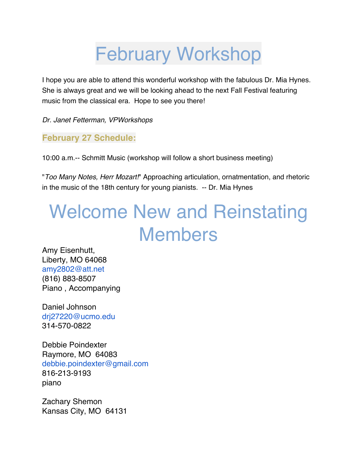## February Workshop

I hope you are able to attend this wonderful workshop with the fabulous Dr. Mia Hynes. She is always great and we will be looking ahead to the next Fall Festival featuring music from the classical era. Hope to see you there!

*Dr. Janet Fetterman, VPWorkshops*

#### **February 27 Schedule:**

10:00 a.m.-- Schmitt Music (workshop will follow a short business meeting)

"*Too Many Notes, Herr Mozart!*" Approaching articulation, ornatmentation, and rhetoric in the music of the 18th century for young pianists. -- Dr. Mia Hynes

# Welcome New and Reinstating Members

Amy Eisenhutt, Liberty, MO 64068 amy2802@att.net (816) 883-8507 Piano , Accompanying

Daniel Johnson drj27220@ucmo.edu 314-570-0822

Debbie Poindexter Raymore, MO 64083 debbie.poindexter@gmail.com 816-213-9193 piano

Zachary Shemon Kansas City, MO 64131